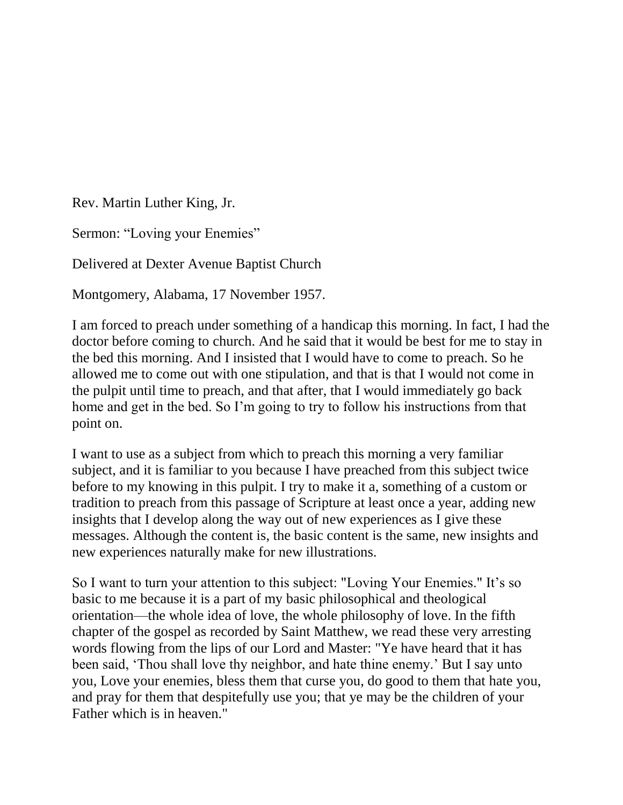Rev. Martin Luther King, Jr.

Sermon: "Loving your Enemies"

Delivered at Dexter Avenue Baptist Church

Montgomery, Alabama, 17 November 1957.

I am forced to preach under something of a handicap this morning. In fact, I had the doctor before coming to church. And he said that it would be best for me to stay in the bed this morning. And I insisted that I would have to come to preach. So he allowed me to come out with one stipulation, and that is that I would not come in the pulpit until time to preach, and that after, that I would immediately go back home and get in the bed. So I'm going to try to follow his instructions from that point on.

I want to use as a subject from which to preach this morning a very familiar subject, and it is familiar to you because I have preached from this subject twice before to my knowing in this pulpit. I try to make it a, something of a custom or tradition to preach from this passage of Scripture at least once a year, adding new insights that I develop along the way out of new experiences as I give these messages. Although the content is, the basic content is the same, new insights and new experiences naturally make for new illustrations.

So I want to turn your attention to this subject: "Loving Your Enemies." It's so basic to me because it is a part of my basic philosophical and theological orientation—the whole idea of love, the whole philosophy of love. In the fifth chapter of the gospel as recorded by Saint Matthew, we read these very arresting words flowing from the lips of our Lord and Master: "Ye have heard that it has been said, 'Thou shall love thy neighbor, and hate thine enemy.' But I say unto you, Love your enemies, bless them that curse you, do good to them that hate you, and pray for them that despitefully use you; that ye may be the children of your Father which is in heaven."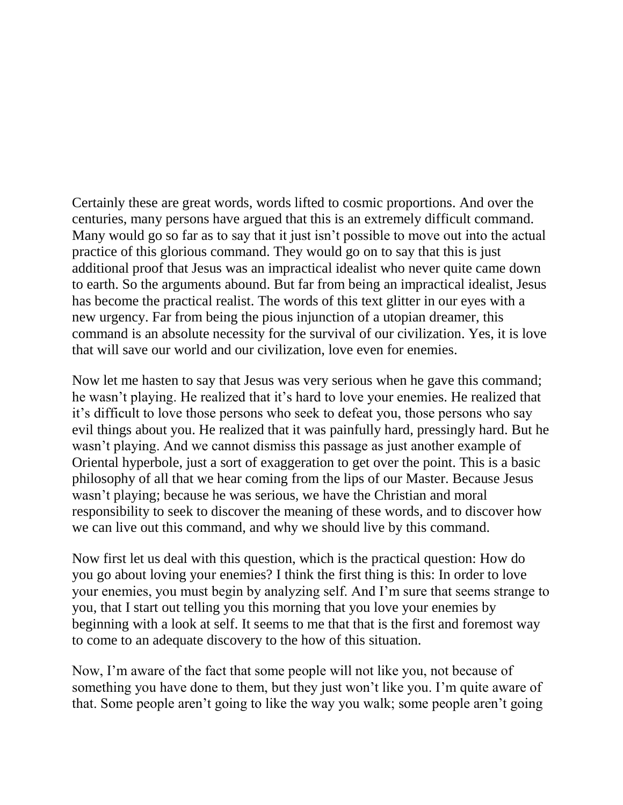Certainly these are great words, words lifted to cosmic proportions. And over the centuries, many persons have argued that this is an extremely difficult command. Many would go so far as to say that it just isn't possible to move out into the actual practice of this glorious command. They would go on to say that this is just additional proof that Jesus was an impractical idealist who never quite came down to earth. So the arguments abound. But far from being an impractical idealist, Jesus has become the practical realist. The words of this text glitter in our eyes with a new urgency. Far from being the pious injunction of a utopian dreamer, this command is an absolute necessity for the survival of our civilization. Yes, it is love that will save our world and our civilization, love even for enemies.

Now let me hasten to say that Jesus was very serious when he gave this command; he wasn't playing. He realized that it's hard to love your enemies. He realized that it's difficult to love those persons who seek to defeat you, those persons who say evil things about you. He realized that it was painfully hard, pressingly hard. But he wasn't playing. And we cannot dismiss this passage as just another example of Oriental hyperbole, just a sort of exaggeration to get over the point. This is a basic philosophy of all that we hear coming from the lips of our Master. Because Jesus wasn't playing; because he was serious, we have the Christian and moral responsibility to seek to discover the meaning of these words, and to discover how we can live out this command, and why we should live by this command.

Now first let us deal with this question, which is the practical question: How do you go about loving your enemies? I think the first thing is this: In order to love your enemies, you must begin by analyzing self. And I'm sure that seems strange to you, that I start out telling you this morning that you love your enemies by beginning with a look at self. It seems to me that that is the first and foremost way to come to an adequate discovery to the how of this situation.

Now, I'm aware of the fact that some people will not like you, not because of something you have done to them, but they just won't like you. I'm quite aware of that. Some people aren't going to like the way you walk; some people aren't going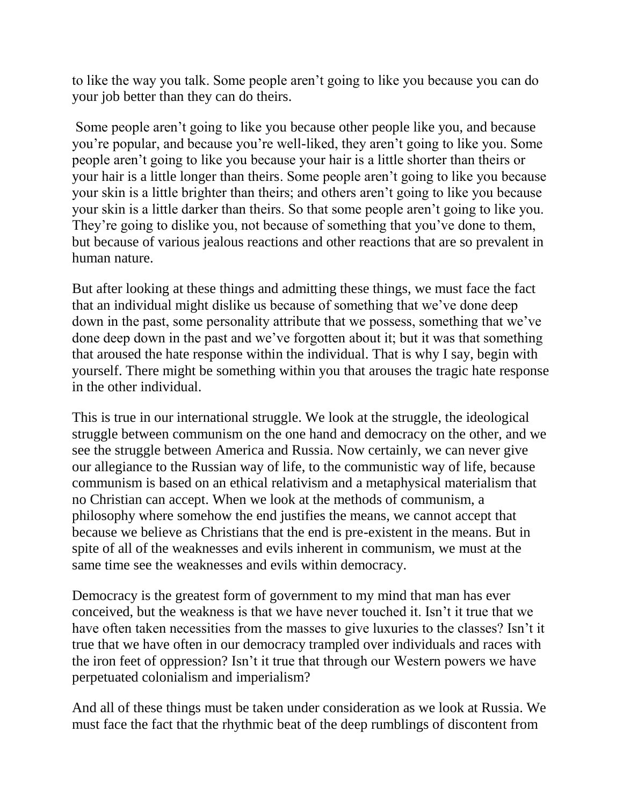to like the way you talk. Some people aren't going to like you because you can do your job better than they can do theirs.

Some people aren't going to like you because other people like you, and because you're popular, and because you're well-liked, they aren't going to like you. Some people aren't going to like you because your hair is a little shorter than theirs or your hair is a little longer than theirs. Some people aren't going to like you because your skin is a little brighter than theirs; and others aren't going to like you because your skin is a little darker than theirs. So that some people aren't going to like you. They're going to dislike you, not because of something that you've done to them, but because of various jealous reactions and other reactions that are so prevalent in human nature.

But after looking at these things and admitting these things, we must face the fact that an individual might dislike us because of something that we've done deep down in the past, some personality attribute that we possess, something that we've done deep down in the past and we've forgotten about it; but it was that something that aroused the hate response within the individual. That is why I say, begin with yourself. There might be something within you that arouses the tragic hate response in the other individual.

This is true in our international struggle. We look at the struggle, the ideological struggle between communism on the one hand and democracy on the other, and we see the struggle between America and Russia. Now certainly, we can never give our allegiance to the Russian way of life, to the communistic way of life, because communism is based on an ethical relativism and a metaphysical materialism that no Christian can accept. When we look at the methods of communism, a philosophy where somehow the end justifies the means, we cannot accept that because we believe as Christians that the end is pre-existent in the means. But in spite of all of the weaknesses and evils inherent in communism, we must at the same time see the weaknesses and evils within democracy.

Democracy is the greatest form of government to my mind that man has ever conceived, but the weakness is that we have never touched it. Isn't it true that we have often taken necessities from the masses to give luxuries to the classes? Isn't it true that we have often in our democracy trampled over individuals and races with the iron feet of oppression? Isn't it true that through our Western powers we have perpetuated colonialism and imperialism?

And all of these things must be taken under consideration as we look at Russia. We must face the fact that the rhythmic beat of the deep rumblings of discontent from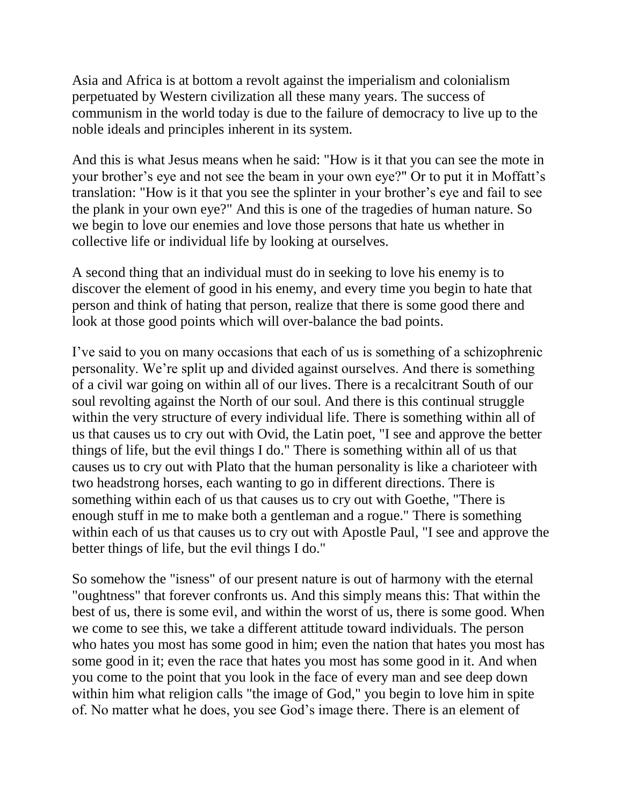Asia and Africa is at bottom a revolt against the imperialism and colonialism perpetuated by Western civilization all these many years. The success of communism in the world today is due to the failure of democracy to live up to the noble ideals and principles inherent in its system.

And this is what Jesus means when he said: "How is it that you can see the mote in your brother's eye and not see the beam in your own eye?" Or to put it in Moffatt's translation: "How is it that you see the splinter in your brother's eye and fail to see the plank in your own eye?" And this is one of the tragedies of human nature. So we begin to love our enemies and love those persons that hate us whether in collective life or individual life by looking at ourselves.

A second thing that an individual must do in seeking to love his enemy is to discover the element of good in his enemy, and every time you begin to hate that person and think of hating that person, realize that there is some good there and look at those good points which will over-balance the bad points.

I've said to you on many occasions that each of us is something of a schizophrenic personality. We're split up and divided against ourselves. And there is something of a civil war going on within all of our lives. There is a recalcitrant South of our soul revolting against the North of our soul. And there is this continual struggle within the very structure of every individual life. There is something within all of us that causes us to cry out with Ovid, the Latin poet, "I see and approve the better things of life, but the evil things I do." There is something within all of us that causes us to cry out with Plato that the human personality is like a charioteer with two headstrong horses, each wanting to go in different directions. There is something within each of us that causes us to cry out with Goethe, "There is enough stuff in me to make both a gentleman and a rogue." There is something within each of us that causes us to cry out with Apostle Paul, "I see and approve the better things of life, but the evil things I do."

So somehow the "isness" of our present nature is out of harmony with the eternal "oughtness" that forever confronts us. And this simply means this: That within the best of us, there is some evil, and within the worst of us, there is some good. When we come to see this, we take a different attitude toward individuals. The person who hates you most has some good in him; even the nation that hates you most has some good in it; even the race that hates you most has some good in it. And when you come to the point that you look in the face of every man and see deep down within him what religion calls "the image of God," you begin to love him in spite of. No matter what he does, you see God's image there. There is an element of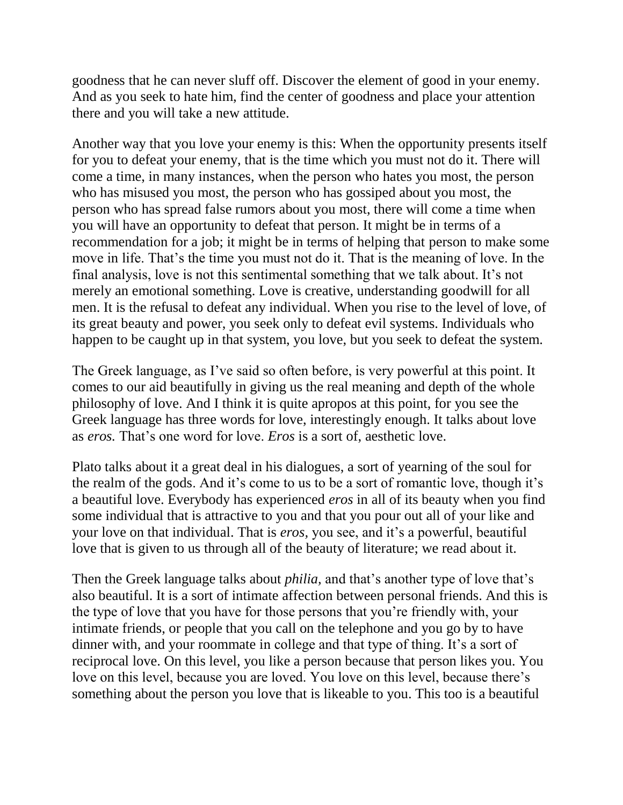goodness that he can never sluff off. Discover the element of good in your enemy. And as you seek to hate him, find the center of goodness and place your attention there and you will take a new attitude.

Another way that you love your enemy is this: When the opportunity presents itself for you to defeat your enemy, that is the time which you must not do it. There will come a time, in many instances, when the person who hates you most, the person who has misused you most, the person who has gossiped about you most, the person who has spread false rumors about you most, there will come a time when you will have an opportunity to defeat that person. It might be in terms of a recommendation for a job; it might be in terms of helping that person to make some move in life. That's the time you must not do it. That is the meaning of love. In the final analysis, love is not this sentimental something that we talk about. It's not merely an emotional something. Love is creative, understanding goodwill for all men. It is the refusal to defeat any individual. When you rise to the level of love, of its great beauty and power, you seek only to defeat evil systems. Individuals who happen to be caught up in that system, you love, but you seek to defeat the system.

The Greek language, as I've said so often before, is very powerful at this point. It comes to our aid beautifully in giving us the real meaning and depth of the whole philosophy of love. And I think it is quite apropos at this point, for you see the Greek language has three words for love, interestingly enough. It talks about love as *eros.* That's one word for love. *Eros* is a sort of, aesthetic love.

Plato talks about it a great deal in his dialogues, a sort of yearning of the soul for the realm of the gods. And it's come to us to be a sort of romantic love, though it's a beautiful love. Everybody has experienced *eros* in all of its beauty when you find some individual that is attractive to you and that you pour out all of your like and your love on that individual. That is *eros,* you see, and it's a powerful, beautiful love that is given to us through all of the beauty of literature; we read about it.

Then the Greek language talks about *philia,* and that's another type of love that's also beautiful. It is a sort of intimate affection between personal friends. And this is the type of love that you have for those persons that you're friendly with, your intimate friends, or people that you call on the telephone and you go by to have dinner with, and your roommate in college and that type of thing. It's a sort of reciprocal love. On this level, you like a person because that person likes you. You love on this level, because you are loved. You love on this level, because there's something about the person you love that is likeable to you. This too is a beautiful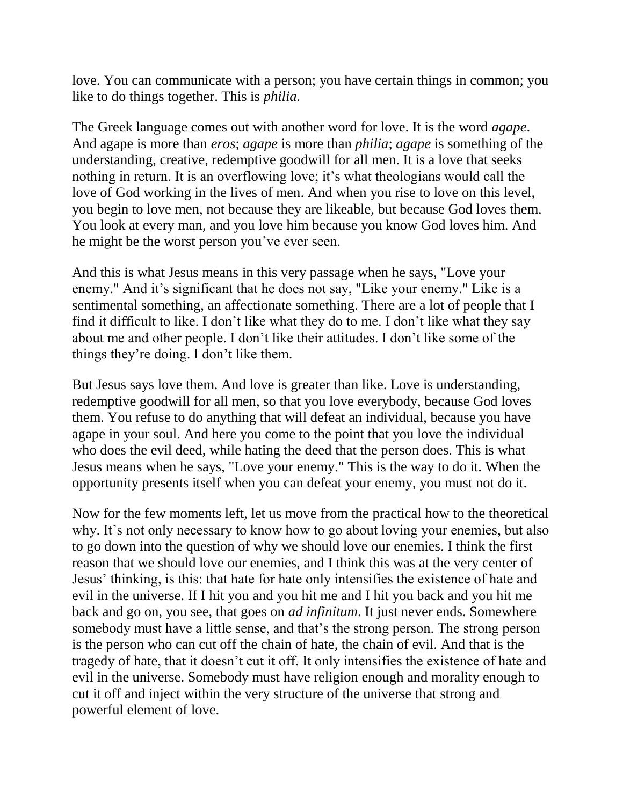love. You can communicate with a person; you have certain things in common; you like to do things together. This is *philia.*

The Greek language comes out with another word for love. It is the word *agape*. And agape is more than *eros*; *agape* is more than *philia*; *agape* is something of the understanding, creative, redemptive goodwill for all men. It is a love that seeks nothing in return. It is an overflowing love; it's what theologians would call the love of God working in the lives of men. And when you rise to love on this level, you begin to love men, not because they are likeable, but because God loves them. You look at every man, and you love him because you know God loves him. And he might be the worst person you've ever seen.

And this is what Jesus means in this very passage when he says, "Love your enemy." And it's significant that he does not say, "Like your enemy." Like is a sentimental something, an affectionate something. There are a lot of people that I find it difficult to like. I don't like what they do to me. I don't like what they say about me and other people. I don't like their attitudes. I don't like some of the things they're doing. I don't like them.

But Jesus says love them. And love is greater than like. Love is understanding, redemptive goodwill for all men, so that you love everybody, because God loves them. You refuse to do anything that will defeat an individual, because you have agape in your soul. And here you come to the point that you love the individual who does the evil deed, while hating the deed that the person does. This is what Jesus means when he says, "Love your enemy." This is the way to do it. When the opportunity presents itself when you can defeat your enemy, you must not do it.

Now for the few moments left, let us move from the practical how to the theoretical why. It's not only necessary to know how to go about loving your enemies, but also to go down into the question of why we should love our enemies. I think the first reason that we should love our enemies, and I think this was at the very center of Jesus' thinking, is this: that hate for hate only intensifies the existence of hate and evil in the universe. If I hit you and you hit me and I hit you back and you hit me back and go on, you see, that goes on *ad infinitum*. It just never ends. Somewhere somebody must have a little sense, and that's the strong person. The strong person is the person who can cut off the chain of hate, the chain of evil. And that is the tragedy of hate, that it doesn't cut it off. It only intensifies the existence of hate and evil in the universe. Somebody must have religion enough and morality enough to cut it off and inject within the very structure of the universe that strong and powerful element of love.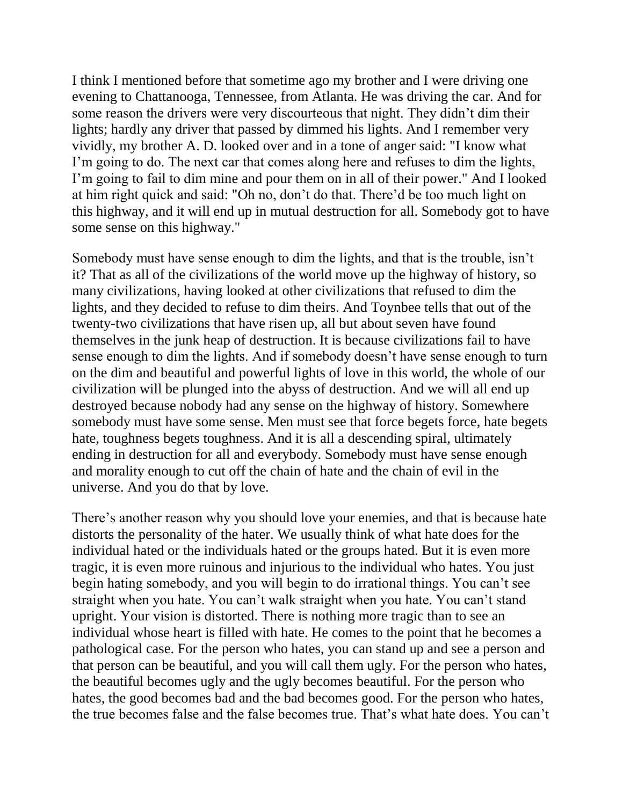I think I mentioned before that sometime ago my brother and I were driving one evening to Chattanooga, Tennessee, from Atlanta. He was driving the car. And for some reason the drivers were very discourteous that night. They didn't dim their lights; hardly any driver that passed by dimmed his lights. And I remember very vividly, my brother A. D. looked over and in a tone of anger said: "I know what I'm going to do. The next car that comes along here and refuses to dim the lights, I'm going to fail to dim mine and pour them on in all of their power." And I looked at him right quick and said: "Oh no, don't do that. There'd be too much light on this highway, and it will end up in mutual destruction for all. Somebody got to have some sense on this highway."

Somebody must have sense enough to dim the lights, and that is the trouble, isn't it? That as all of the civilizations of the world move up the highway of history, so many civilizations, having looked at other civilizations that refused to dim the lights, and they decided to refuse to dim theirs. And Toynbee tells that out of the twenty-two civilizations that have risen up, all but about seven have found themselves in the junk heap of destruction. It is because civilizations fail to have sense enough to dim the lights. And if somebody doesn't have sense enough to turn on the dim and beautiful and powerful lights of love in this world, the whole of our civilization will be plunged into the abyss of destruction. And we will all end up destroyed because nobody had any sense on the highway of history. Somewhere somebody must have some sense. Men must see that force begets force, hate begets hate, toughness begets toughness. And it is all a descending spiral, ultimately ending in destruction for all and everybody. Somebody must have sense enough and morality enough to cut off the chain of hate and the chain of evil in the universe. And you do that by love.

There's another reason why you should love your enemies, and that is because hate distorts the personality of the hater. We usually think of what hate does for the individual hated or the individuals hated or the groups hated. But it is even more tragic, it is even more ruinous and injurious to the individual who hates. You just begin hating somebody, and you will begin to do irrational things. You can't see straight when you hate. You can't walk straight when you hate. You can't stand upright. Your vision is distorted. There is nothing more tragic than to see an individual whose heart is filled with hate. He comes to the point that he becomes a pathological case. For the person who hates, you can stand up and see a person and that person can be beautiful, and you will call them ugly. For the person who hates, the beautiful becomes ugly and the ugly becomes beautiful. For the person who hates, the good becomes bad and the bad becomes good. For the person who hates, the true becomes false and the false becomes true. That's what hate does. You can't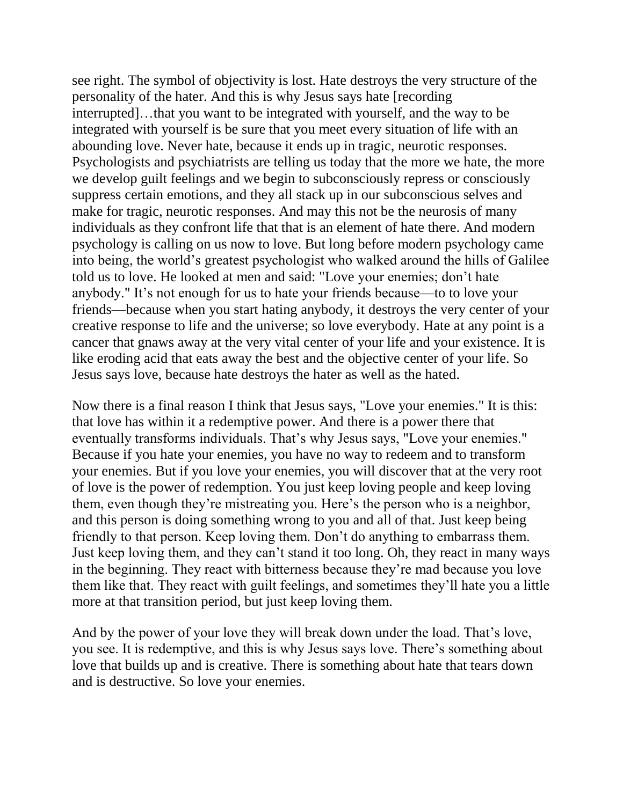see right. The symbol of objectivity is lost. Hate destroys the very structure of the personality of the hater. And this is why Jesus says hate [recording interrupted]…that you want to be integrated with yourself, and the way to be integrated with yourself is be sure that you meet every situation of life with an abounding love. Never hate, because it ends up in tragic, neurotic responses. Psychologists and psychiatrists are telling us today that the more we hate, the more we develop guilt feelings and we begin to subconsciously repress or consciously suppress certain emotions, and they all stack up in our subconscious selves and make for tragic, neurotic responses. And may this not be the neurosis of many individuals as they confront life that that is an element of hate there. And modern psychology is calling on us now to love. But long before modern psychology came into being, the world's greatest psychologist who walked around the hills of Galilee told us to love. He looked at men and said: "Love your enemies; don't hate anybody." It's not enough for us to hate your friends because—to to love your friends—because when you start hating anybody, it destroys the very center of your creative response to life and the universe; so love everybody. Hate at any point is a cancer that gnaws away at the very vital center of your life and your existence. It is like eroding acid that eats away the best and the objective center of your life. So Jesus says love, because hate destroys the hater as well as the hated.

Now there is a final reason I think that Jesus says, "Love your enemies." It is this: that love has within it a redemptive power. And there is a power there that eventually transforms individuals. That's why Jesus says, "Love your enemies." Because if you hate your enemies, you have no way to redeem and to transform your enemies. But if you love your enemies, you will discover that at the very root of love is the power of redemption. You just keep loving people and keep loving them, even though they're mistreating you. Here's the person who is a neighbor, and this person is doing something wrong to you and all of that. Just keep being friendly to that person. Keep loving them. Don't do anything to embarrass them. Just keep loving them, and they can't stand it too long. Oh, they react in many ways in the beginning. They react with bitterness because they're mad because you love them like that. They react with guilt feelings, and sometimes they'll hate you a little more at that transition period, but just keep loving them.

And by the power of your love they will break down under the load. That's love, you see. It is redemptive, and this is why Jesus says love. There's something about love that builds up and is creative. There is something about hate that tears down and is destructive. So love your enemies.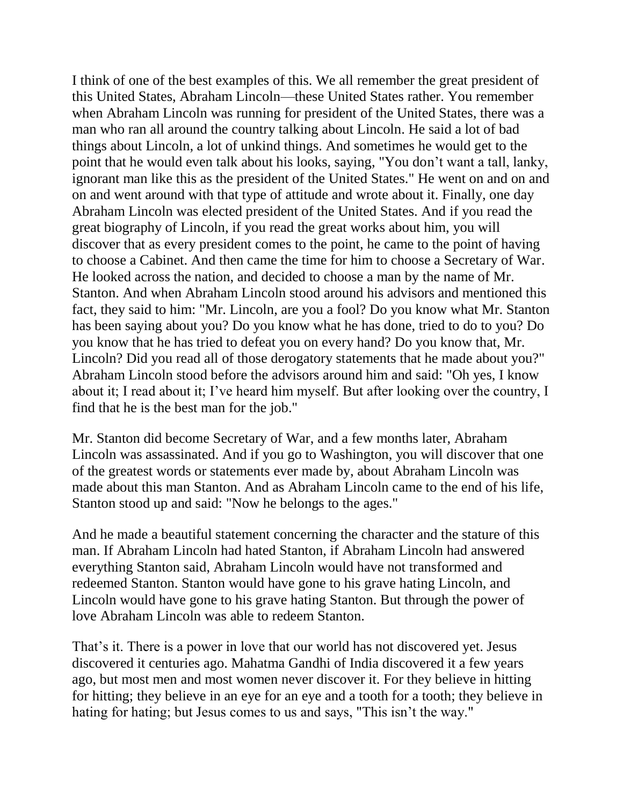I think of one of the best examples of this. We all remember the great president of this United States, Abraham Lincoln—these United States rather. You remember when Abraham Lincoln was running for president of the United States, there was a man who ran all around the country talking about Lincoln. He said a lot of bad things about Lincoln, a lot of unkind things. And sometimes he would get to the point that he would even talk about his looks, saying, "You don't want a tall, lanky, ignorant man like this as the president of the United States." He went on and on and on and went around with that type of attitude and wrote about it. Finally, one day Abraham Lincoln was elected president of the United States. And if you read the great biography of Lincoln, if you read the great works about him, you will discover that as every president comes to the point, he came to the point of having to choose a Cabinet. And then came the time for him to choose a Secretary of War. He looked across the nation, and decided to choose a man by the name of Mr. Stanton. And when Abraham Lincoln stood around his advisors and mentioned this fact, they said to him: "Mr. Lincoln, are you a fool? Do you know what Mr. Stanton has been saying about you? Do you know what he has done, tried to do to you? Do you know that he has tried to defeat you on every hand? Do you know that, Mr. Lincoln? Did you read all of those derogatory statements that he made about you?" Abraham Lincoln stood before the advisors around him and said: "Oh yes, I know about it; I read about it; I've heard him myself. But after looking over the country, I find that he is the best man for the job."

Mr. Stanton did become Secretary of War, and a few months later, Abraham Lincoln was assassinated. And if you go to Washington, you will discover that one of the greatest words or statements ever made by, about Abraham Lincoln was made about this man Stanton. And as Abraham Lincoln came to the end of his life, Stanton stood up and said: "Now he belongs to the ages."

And he made a beautiful statement concerning the character and the stature of this man. If Abraham Lincoln had hated Stanton, if Abraham Lincoln had answered everything Stanton said, Abraham Lincoln would have not transformed and redeemed Stanton. Stanton would have gone to his grave hating Lincoln, and Lincoln would have gone to his grave hating Stanton. But through the power of love Abraham Lincoln was able to redeem Stanton.

That's it. There is a power in love that our world has not discovered yet. Jesus discovered it centuries ago. Mahatma Gandhi of India discovered it a few years ago, but most men and most women never discover it. For they believe in hitting for hitting; they believe in an eye for an eye and a tooth for a tooth; they believe in hating for hating; but Jesus comes to us and says, "This isn't the way."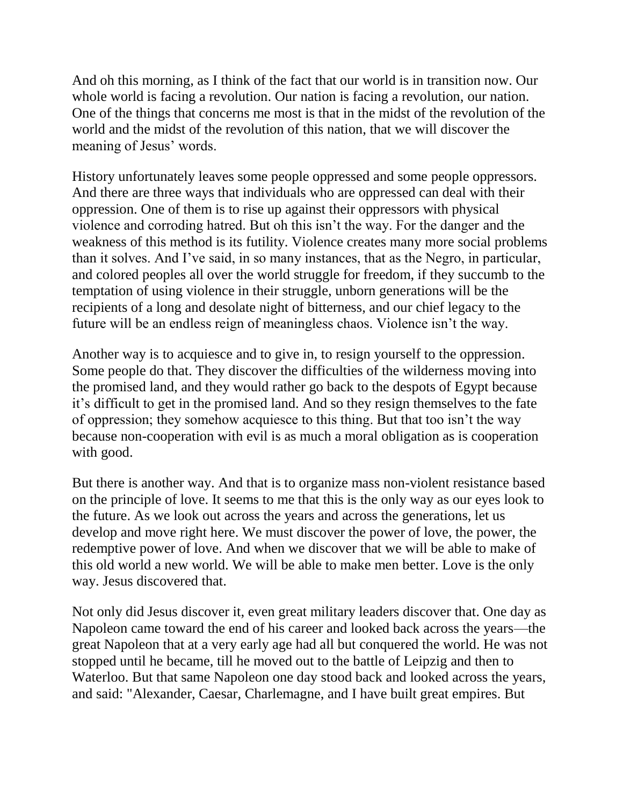And oh this morning, as I think of the fact that our world is in transition now. Our whole world is facing a revolution. Our nation is facing a revolution, our nation. One of the things that concerns me most is that in the midst of the revolution of the world and the midst of the revolution of this nation, that we will discover the meaning of Jesus' words.

History unfortunately leaves some people oppressed and some people oppressors. And there are three ways that individuals who are oppressed can deal with their oppression. One of them is to rise up against their oppressors with physical violence and corroding hatred. But oh this isn't the way. For the danger and the weakness of this method is its futility. Violence creates many more social problems than it solves. And I've said, in so many instances, that as the Negro, in particular, and colored peoples all over the world struggle for freedom, if they succumb to the temptation of using violence in their struggle, unborn generations will be the recipients of a long and desolate night of bitterness, and our chief legacy to the future will be an endless reign of meaningless chaos. Violence isn't the way.

Another way is to acquiesce and to give in, to resign yourself to the oppression. Some people do that. They discover the difficulties of the wilderness moving into the promised land, and they would rather go back to the despots of Egypt because it's difficult to get in the promised land. And so they resign themselves to the fate of oppression; they somehow acquiesce to this thing. But that too isn't the way because non-cooperation with evil is as much a moral obligation as is cooperation with good.

But there is another way. And that is to organize mass non-violent resistance based on the principle of love. It seems to me that this is the only way as our eyes look to the future. As we look out across the years and across the generations, let us develop and move right here. We must discover the power of love, the power, the redemptive power of love. And when we discover that we will be able to make of this old world a new world. We will be able to make men better. Love is the only way. Jesus discovered that.

Not only did Jesus discover it, even great military leaders discover that. One day as Napoleon came toward the end of his career and looked back across the years—the great Napoleon that at a very early age had all but conquered the world. He was not stopped until he became, till he moved out to the battle of Leipzig and then to Waterloo. But that same Napoleon one day stood back and looked across the years, and said: "Alexander, Caesar, Charlemagne, and I have built great empires. But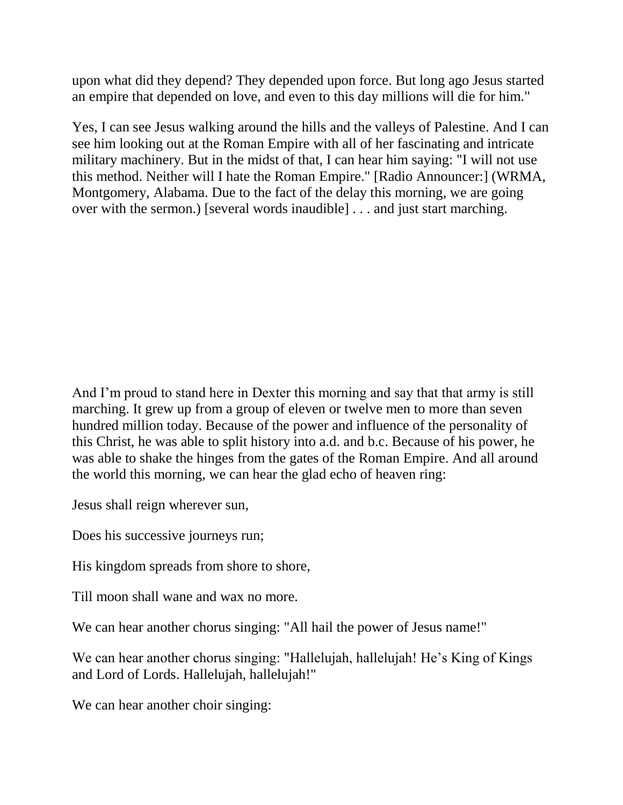upon what did they depend? They depended upon force. But long ago Jesus started an empire that depended on love, and even to this day millions will die for him."

Yes, I can see Jesus walking around the hills and the valleys of Palestine. And I can see him looking out at the Roman Empire with all of her fascinating and intricate military machinery. But in the midst of that, I can hear him saying: "I will not use this method. Neither will I hate the Roman Empire." [Radio Announcer:] (WRMA, Montgomery, Alabama. Due to the fact of the delay this morning, we are going over with the sermon.) [several words inaudible] . . . and just start marching.

And I'm proud to stand here in Dexter this morning and say that that army is still marching. It grew up from a group of eleven or twelve men to more than seven hundred million today. Because of the power and influence of the personality of this Christ, he was able to split history into a.d. and b.c. Because of his power, he was able to shake the hinges from the gates of the Roman Empire. And all around the world this morning, we can hear the glad echo of heaven ring:

Jesus shall reign wherever sun,

Does his successive journeys run;

His kingdom spreads from shore to shore,

Till moon shall wane and wax no more.

We can hear another chorus singing: "All hail the power of Jesus name!"

We can hear another chorus singing: "Hallelujah, hallelujah! He's King of Kings and Lord of Lords. Hallelujah, hallelujah!"

We can hear another choir singing: